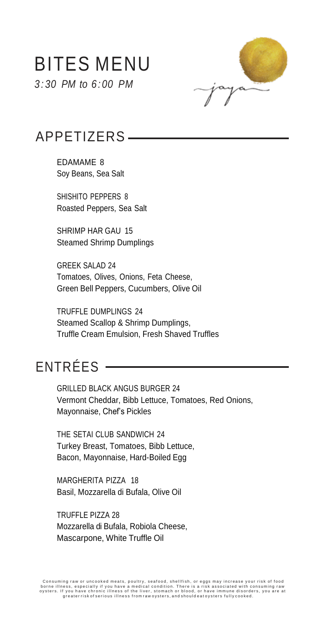# BITES MENU

*3 : 30 PM to 6 : 00 PM*



# APPETIZERS

EDAMAME 8 Soy Beans, Sea Salt

SHISHITO PEPPERS 8 Roasted Peppers, Sea Salt

SHRIMP HAR GAU 15 Steamed Shrimp Dumplings

GREEK SALAD 24 Tomatoes, Olives, Onions, Feta Cheese, Green Bell Peppers, Cucumbers, Olive Oil

TRUFFLE DUMPLINGS 24 Steamed Scallop & Shrimp Dumplings, Truffle Cream Emulsion, Fresh Shaved Truffles

# ENTRÉES

GRILLED BLACK ANGUS BURGER 24 Vermont Cheddar, Bibb Lettuce, Tomatoes, Red Onions, Mayonnaise, Chef's Pickles

THE SETAI CLUB SANDWICH 24 Turkey Breast, Tomatoes, Bibb Lettuce, Bacon, Mayonnaise, Hard-Boiled Egg

MARGHERITA PIZZA 18 Basil, Mozzarella di Bufala, Olive Oil

TRUFFLE PIZZA 28 Mozzarella di Bufala, Robiola Cheese, Mascarpone, White Truffle Oil